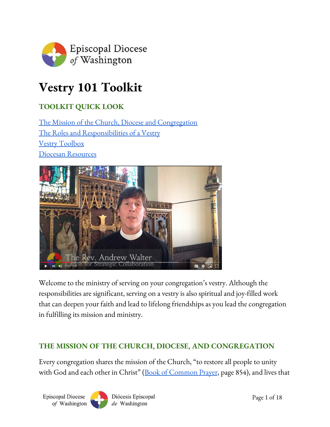

# **Vestry 101 Toolkit**

# **TOOLKIT QUICK LOOK**

The Mission of the Church, Diocese and [Congregation](#page-0-0) The Roles and [Responsibilities](#page-4-0) of a Vestry Vestry [Toolbox](#page-12-0) Diocesan [Resources](#page-15-0)



Welcome to the ministry of serving on your congregation's vestry. Although the responsibilities are significant, serving on a vestry is also spiritual and joy-filled work that can deepen your faith and lead to lifelong friendships as you lead the congregation in fulfilling its mission and ministry.

#### <span id="page-0-0"></span>**THE MISSION OF THE CHURCH, DIOCESE, AND CONGREGATION**

Every congregation shares the mission of the Church, "to restore all people to unity with God and each other in Christ" (Book of [Common](#page-16-0) Prayer, page 854), and lives that

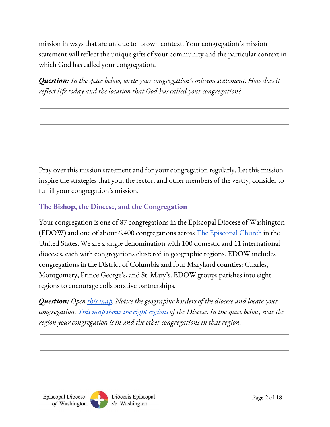mission in ways that are unique to its own context. Your congregation's mission statement will reflect the unique gifts of your community and the particular context in which God has called your congregation.

*Question: In the space below, write your congregation's mission statement. How does it reflect life today and the location that God has called your congregation?*

Pray over this mission statement and for your congregation regularly. Let this mission inspire the strategies that you, the rector, and other members of the vestry, consider to fulfill your congregation's mission.

## **The Bishop, the Diocese, and the Congregation**

Your congregation is one of 87 congregations in the Episcopal Diocese of Washington (EDOW) and one of about 6,400 congregations across The [Episcopal](https://episcopalchurch.org/files/documents/tec-prov-map-2016-2018.pdf) Church in the United States. We are a single denomination with 100 domestic and 11 international dioceses, each with congregations clustered in geographic regions. EDOW includes congregations in the District of Columbia and four Maryland counties: Charles, Montgomery, Prince George's, and St. Mary's. EDOW groups parishes into eight regions to encourage collaborative partnerships.

*Question: Open this [map](https://www.google.com/maps/@38.6854725,-76.892137,9z/data=!3m1!4b1!4m2!6m1!1s1gUblXYsPR8lJFPn-QoMICiSVQPg). Notice the geographic borders of the diocese and locate your congregation. This map shows the eight [regions](https://www.edow.org/about/diocesan-governance/regions) of the Diocese. In the space below, note the region your congregation is in and the other congregations in that region.*

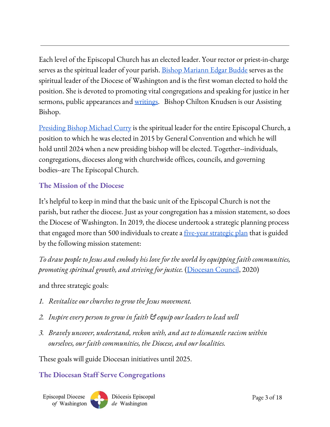Each level of the Episcopal Church has an elected leader. Your rector or priest-in-charge serves as the spiritual leader of your parish. Bishop [Mariann](https://www.edow.org/about/bishop-mariann) Edgar Budde serves as the spiritual leader of the Diocese of Washington and is the first woman elected to hold the position. She is devoted to promoting vital congregations and speaking for justice in her sermons, public appearances and <u>[writings](https://www.edow.org/about/bishop-mariann/writings/)</u>. Bishop Chilton Knudsen is our Assisting Bishop.

<u>[Presiding](https://episcopalchurch.org/presiding-bishop-michael-curry) Bishop Michael Curry</u> is the spiritual leader for the entire Episcopal Church, a position to which he was elected in 2015 by General Convention and which he will hold until 2024 when a new presiding bishop will be elected. Together--individuals, congregations, dioceses along with churchwide offices, councils, and governing bodies--are The Episcopal Church.

#### **The Mission of the Diocese**

It's helpful to keep in mind that the basic unit of the Episcopal Church is not the parish, but rather the diocese. Just as your congregation has a mission statement, so does the Diocese of Washington. In 2019, the diocese undertook a strategic planning process that engaged more than 500 individuals to create a <u>[five-year](https://www.edow.org/strategic-plan) strategic plan</u> that is guided by the following mission statement:

*To draw people to Jesus and embody his love for the world by equipping faith communities, promoting spiritual growth, and striving for justice.* [\(Diocesan](#page-17-0) Council, 2020)

and three strategic goals:

- *1. Revitalize our churches to grow the Jesus movement.*
- *2. Inspire every person to grow in faith & equip our leaders to lead well*
- *3. Bravely uncover, understand, reckon with, and act to dismantle racism within ourselves, our faith communities, the Diocese, and our localities.*

These goals will guide Diocesan initiatives until 2025.

#### **The Diocesan Staff Serve Congregations**

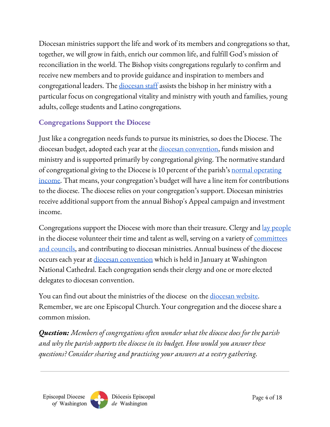Diocesan ministries support the life and work of its members and congregations so that, together, we will grow in faith, enrich our common life, and fulfill God's mission of reconciliation in the world. The Bishop visits congregations regularly to confirm and receive new members and to provide guidance and inspiration to members and congregational leaders. The [diocesan](https://www.edow.org/about/staff) staff assists the bishop in her ministry with a particular focus on congregational vitality and ministry with youth and families, young adults, college students and Latino congregations.

# **Congregations Support the Diocese**

Just like a congregation needs funds to pursue its ministries, so does the Diocese. The diocesan budget, adopted each year at the <u>diocesan [convention](#page-17-1)</u>, funds mission and ministry and is supported primarily by congregational giving. The normative standard of congregational giving to the Diocese is 10 percent of the parish's normal [operating](#page-17-2) [income.](#page-17-2) That means, your congregation's budget will have a line item for contributions to the diocese. The diocese relies on your congregation's support. Diocesan ministries receive additional support from the annual Bishop's Appeal campaign and investment income.

Congregations support the Diocese with more than their treasure. Clergy and <u>lay [people](#page-17-3)</u> in the diocese volunteer their time and talent as well, serving on a variety of <u>[committees](https://www.edow.org/about/diocesan-governance/committee-rosters)</u> and [councils,](https://www.edow.org/about/diocesan-governance/committee-rosters) and contributing to diocesan ministries. Annual business of the diocese occurs each year at <u>diocesan [convention](#page-17-1)</u> which is held in January at Washington National Cathedral. Each congregation sends their clergy and one or more elected delegates to diocesan convention.

You can find out about the ministries of the diocese on the [diocesan](https://www.edow.org/news-events) website. Remember, we are one Episcopal Church. Your congregation and the diocese share a common mission.

*Question: Members of congregations often wonder what the diocese does for the parish and why the parish supports the diocese in its budget. How would you answer these questions? Consider sharing and practicing your answers at a vestry gathering.*



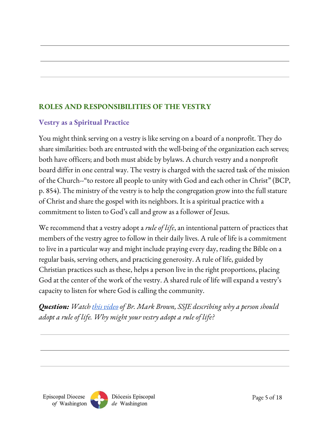# <span id="page-4-0"></span>**ROLES AND RESPONSIBILITIES OF THE VESTRY**

## **Vestry as a Spiritual Practice**

You might think serving on a vestry is like serving on a board of a nonprofit. They do share similarities: both are entrusted with the well-being of the organization each serves; both have officers; and both must abide by bylaws. A church vestry and a nonprofit board differ in one central way. The vestry is charged with the sacred task of the mission of the Church--"to restore all people to unity with God and each other in Christ" (BCP, p. 854). The ministry of the vestry is to help the congregation grow into the full stature of Christ and share the gospel with its neighbors. It is a spiritual practice with a commitment to listen to God's call and grow as a follower of Jesus.

We recommend that a vestry adopt a *rule of life*, an intentional pattern of practices that members of the vestry agree to follow in their daily lives. A rule of life is a commitment to live in a particular way and might include praying every day, reading the Bible on a regular basis, serving others, and practicing generosity. A rule of life, guided by Christian practices such as these, helps a person live in the right proportions, placing God at the center of the work of the vestry. A shared rule of life will expand a vestry's capacity to listen for where God is calling the community.

*Question: Watch this [video](https://youtu.be/GToc3L4gLac) of Br. Mark Brown, SSJE describing why a person should adopt a rule of life. Why might your vestry adopt a rule of life?*

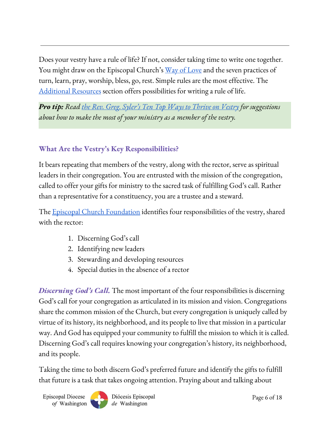Does your vestry have a rule of life? If not, consider taking time to write one together. You might draw on the Episcopal Church's <u>Way of [Love](https://episcopalchurch.org/way-of-love)</u> and the seven practices of turn, learn, pray, worship, bless, go, rest. Simple rules are the most effective. The [Additional](#page-16-1) Resources section offers possibilities for writing a rule of life.

*Pro tip: Read the Rev. Greg. Syler's Ten Top Ways to [Thrive](https://www.ecfvp.org/blogs/3666/top-ten-ways-to-thrive-as-a-vestry-leader) on Vestry for suggestions about how to make the most of your ministry as a member of the vestry.*

# **What Are the Vestry's Key Responsibilities?**

It bears repeating that members of the vestry, along with the rector, serve as spiritual leaders in their congregation. You are entrusted with the mission of the congregation, called to offer your gifts for ministry to the sacred task of fulfilling God's call. Rather than a representative for a constituency, you are a trustee and a steward.

The <u>Episcopal Church [Foundation](https://www.episcopalfoundation.org/)</u> identifies four responsibilities of the vestry, shared with the rector:

- 1. Discerning God's call
- 2. Identifying new leaders
- 3. Stewarding and developing resources
- 4. Special duties in the absence of a rector

*Discerning God's Call.* The most important of the four responsibilities is discerning God's call for your congregation as articulated in its mission and vision. Congregations share the common mission of the Church, but every congregation is uniquely called by virtue of its history, its neighborhood, and its people to live that mission in a particular way. And God has equipped your community to fulfill the mission to which it is called. Discerning God's call requires knowing your congregation's history, its neighborhood, and its people.

Taking the time to both discern God's preferred future and identify the gifts to fulfill that future is a task that takes ongoing attention. Praying about and talking about

**Episcopal Diocese** of Washington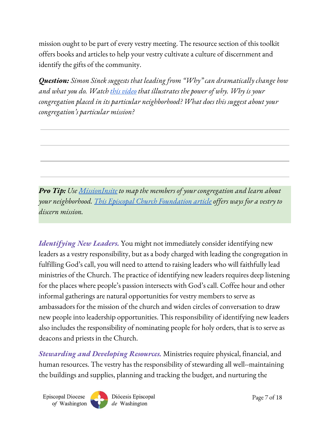mission ought to be part of every vestry meeting. The resource section of this toolkit offers books and articles to help your vestry cultivate a culture of discernment and identify the gifts of the community.

*Question: Simon Sinek suggests that leading from "Why" can dramatically change how and what you do. Watch this [video](https://www.youtube.com/watch?v=1ytFB8TrkTo) that illustrates the power of why. Why is your congregation placed in its particular neighborhood? What does this suggest about your congregation's particular mission?*

*Pro Tip: Use [MissionInsite](https://www.edow.org/congregational-vitality/missioninsite) to map the members of your congregation and learn about your neighborhood. This Episcopal Church [Foundation](https://www.ecfvp.org/vestry-papers/article/499/why-articulate-your-mission-vision) article of ers ways for a vestry to discern mission.*

*Identifying New Leaders.* You might not immediately consider identifying new leaders as a vestry responsibility, but as a body charged with leading the congregation in fulfilling God's call, you will need to attend to raising leaders who will faithfully lead ministries of the Church. The practice of identifying new leaders requires deep listening for the places where people's passion intersects with God's call. Coffee hour and other informal gatherings are natural opportunities for vestry members to serve as ambassadors for the mission of the church and widen circles of conversation to draw new people into leadership opportunities. This responsibility of identifying new leaders also includes the responsibility of nominating people for holy orders, that is to serve as deacons and priests in the Church.

*Stewarding and Developing Resources.* Ministries require physical, financial, and human resources. The vestry has the responsibility of stewarding all well--maintaining the buildings and supplies, planning and tracking the budget, and nurturing the



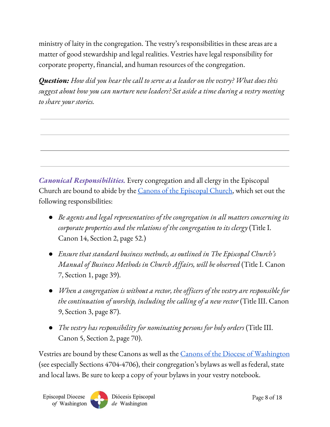ministry of laity in the congregation. The vestry's responsibilities in these areas are a matter of good stewardship and legal realities. Vestries have legal responsibility for corporate property, financial, and human resources of the congregation.

*Question: How did you hear the call to serve as a leader on the vestry? What does this suggest about how you can nurture new leaders? Set aside a time during a vestry meeting to share your stories.*

*Canonical Responsibilities.* Every congregation and all clergy in the Episcopal Church are bound to abide by the Canons of the [Episcopal](https://extranet.generalconvention.org/staff/files/download/23914) Church, which set out the following responsibilities:

- *Be agents and legal representatives of the congregation in all matters concerning its corporate properties and the relations of the congregation to its clergy* (Title I. Canon 14, Section 2, page 52.)
- *Ensure that standard business methods, as outlined in The Episcopal Church's Manual of Business Methods in Church Af airs, will be observed* (Title I. Canon 7, Section 1, page 39).
- *When a congregation is without a rector, the of icers of the vestry are responsible for the continuation of worship, including the calling of a new rector* (Title III. Canon 9, Section 3, page 87).
- *The vestry has responsibility for nominating persons for holy orders* (Title III. Canon 5, Section 2, page 70).

Vestries are bound by these Canons as well as the <u>Canons of the Diocese of [Washington](https://www.edow.org/files/7315/7627/3899/Part_V_Constitution_and_Canons.pdf)</u> (see especially Sections 4704-4706), their congregation's bylaws as well as federal, state and local laws. Be sure to keep a copy of your bylaws in your vestry notebook.

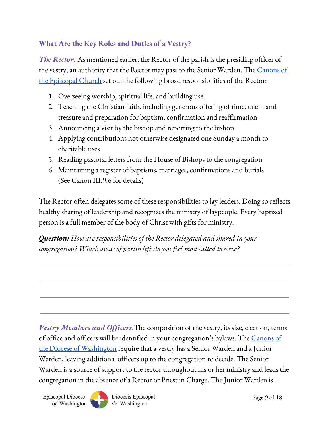#### **What Are the Key Roles and Duties of a Vestry?**

*The Rector.* As mentioned earlier, the Rector of the parish is the presiding officer of the vestry, an authority that the Rector may pass to the Senior Warden. The <u>[Canons](https://www.generalconvention.org/publications#CandC) of</u> the [Episcopal](https://www.generalconvention.org/publications#CandC) Church set out the following broad responsibilities of the Rector:

- 1. Overseeing worship, spiritual life, and building use
- 2. Teaching the Christian faith, including generous offering of time, talent and treasure and preparation for baptism, confirmation and reaffirmation
- 3. Announcing a visit by the bishop and reporting to the bishop
- 4. Applying contributions not otherwise designated one Sunday a month to charitable uses
- 5. Reading pastoral letters from the House of Bishops to the congregation
- 6. Maintaining a register of baptisms, marriages, confirmations and burials (See Canon III.9.6 for details)

The Rector often delegates some of these responsibilities to lay leaders. Doing so reflects healthy sharing of leadership and recognizes the ministry of laypeople. Every baptized person is a full member of the body of Christ with gifts for ministry.

*Question: How are responsibilities of the Rector delegated and shared in your congregation? Which areas of parish life do you feel most called to serve?*

*Vestry Members and Officers.*The composition of the vestry, its size, election, terms of office and officers will be identified in your congregation's bylaws. The [Canons](https://www.edow.org/files/7315/7627/3899/Part_V_Constitution_and_Canons.pdf) of <u>the Diocese of [Washington](https://www.edow.org/files/7315/7627/3899/Part_V_Constitution_and_Canons.pdf)</u> require that a vestry has a Senior Warden and a Junior Warden, leaving additional officers up to the congregation to decide. The Senior Warden is a source of support to the rector throughout his or her ministry and leads the congregation in the absence of a Rector or Priest in Charge. The Junior Warden is

**Episcopal Diocese** of Washington

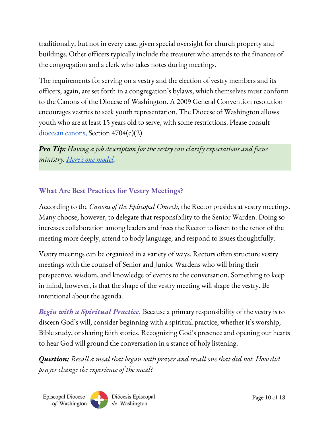traditionally, but not in every case, given special oversight for church property and buildings. Other officers typically include the treasurer who attends to the finances of the congregation and a clerk who takes notes during meetings.

The requirements for serving on a vestry and the election of vestry members and its officers, again, are set forth in a congregation's bylaws, which themselves must conform to the Canons of the Diocese of Washington. A 2009 General Convention resolution encourages vestries to seek youth representation. The Diocese of Washington allows youth who are at least 15 years old to serve, with some restrictions. Please consult [diocesan](https://www.edow.org/about/diocesan-governance/constitution-and-canons) canons, Section 4704(c)(2).

*Pro Tip: Having a job description for the vestry can clarify expectations and focus ministry. Here's one [model.](https://s3.amazonaws.com/dfc_attachments/public/documents/3277041/Vestry_Member_Job_Description_Fwd_Mvmt.pdf)*

## **What Are Best Practices for Vestry Meetings?**

According to the *Canons of the Episcopal Church*, the Rector presides at vestry meetings. Many choose, however, to delegate that responsibility to the Senior Warden. Doing so increases collaboration among leaders and frees the Rector to listen to the tenor of the meeting more deeply, attend to body language, and respond to issues thoughtfully.

Vestry meetings can be organized in a variety of ways. Rectors often structure vestry meetings with the counsel of Senior and Junior Wardens who will bring their perspective, wisdom, and knowledge of events to the conversation. Something to keep in mind, however, is that the shape of the vestry meeting will shape the vestry. Be intentional about the agenda.

*Begin with a Spiritual Practice.* Because a primary responsibility of the vestry is to discern God's will, consider beginning with a spiritual practice, whether it's worship, Bible study, or sharing faith stories. Recognizing God's presence and opening our hearts to hear God will ground the conversation in a stance of holy listening.

*Question: Recall a meal that began with prayer and recall one that did not. How did prayer change the experience of the meal?*

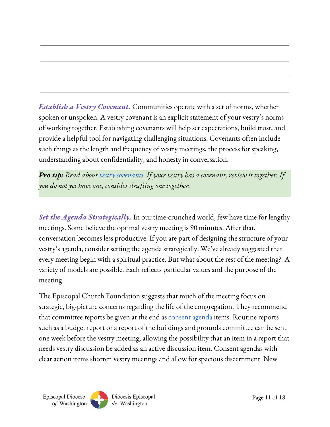*Establish a Vestry Covenant.* Communities operate with a set of norms, whether spoken or unspoken. A vestry covenant is an explicit statement of your vestry's norms of working together. Establishing covenants will help set expectations, build trust, and provide a helpful tool for navigating challenging situations. Covenants often include such things as the length and frequency of vestry meetings, the process for speaking, understanding about confidentiality, and honesty in conversation.

*Pro tip: Read about vestry [covenants.](https://www.ecfvp.org/tools/116/vestry-covenants-and-norms) If your vestry has a covenant, review it together. If you do not yet have one, consider drafting one together.*

*Set the Agenda Strategically.* In our time-crunched world, few have time for lengthy meetings. Some believe the optimal vestry meeting is 90 minutes. After that, conversation becomes less productive. If you are part of designing the structure of your vestry's agenda, consider setting the agenda strategically. We've already suggested that every meeting begin with a spiritual practice. But what about the rest of the meeting? A variety of models are possible. Each reflects particular values and the purpose of the meeting.

The Episcopal Church Foundation suggests that much of the meeting focus on strategic, big-picture concerns regarding the life of the congregation. They recommend that committee reports be given at the end as **[consent](https://www.ecfvp.org/vestry-papers/article/393/the-consent-agenda-more-efficient-meetings) agenda** items. Routine reports such as a budget report or a report of the buildings and grounds committee can be sent one week before the vestry meeting, allowing the possibility that an item in a report that needs vestry discussion be added as an active discussion item. Consent agendas with clear action items shorten vestry meetings and allow for spacious discernment. New

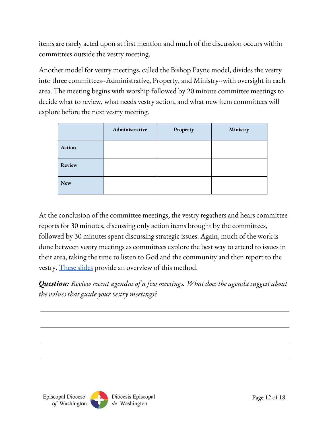items are rarely acted upon at first mention and much of the discussion occurs within committees outside the vestry meeting.

Another model for vestry meetings, called the Bishop Payne model, divides the vestry into three committees--Administrative, Property, and Ministry--with oversight in each area. The meeting begins with worship followed by 20 minute committee meetings to decide what to review, what needs vestry action, and what new item committees will explore before the next vestry meeting.

|            | Administrative | Property | Ministry |
|------------|----------------|----------|----------|
| Action     |                |          |          |
| Review     |                |          |          |
| <b>New</b> |                |          |          |

At the conclusion of the committee meetings, the vestry regathers and hears committee reports for 30 minutes, discussing only action items brought by the committees, followed by 30 minutes spent discussing strategic issues. Again, much of the work is done between vestry meetings as committees explore the best way to attend to issues in their area, taking the time to listen to God and the community and then report to the vestry. [These](https://www.thegatheringofleaders.org/sites/default/files/GOL%20-%20Payne%20Vestry%20Organization%20Presentation.ppt) slides provide an overview of this method.

*Question: Review recent agendas of a few meetings. What does the agenda suggest about the values that guide your vestry meetings?*

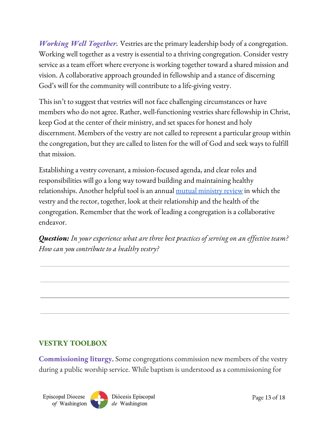*Working Well Together.* Vestries are the primary leadership body of a congregation. Working well together as a vestry is essential to a thriving congregation. Consider vestry service as a team effort where everyone is working together toward a shared mission and vision. A collaborative approach grounded in fellowship and a stance of discerning God's will for the community will contribute to a life-giving vestry.

This isn't to suggest that vestries will not face challenging circumstances or have members who do not agree. Rather, well-functioning vestries share fellowship in Christ, keep God at the center of their ministry, and set spaces for honest and holy discernment. Members of the vestry are not called to represent a particular group within the congregation, but they are called to listen for the will of God and seek ways to fulfill that mission.

Establishing a vestry covenant, a mission-focused agenda, and clear roles and responsibilities will go a long way toward building and maintaining healthy relationships. Another helpful tool is an annual <u>mutual [ministry](#page-15-1) review</u> in which the vestry and the rector, together, look at their relationship and the health of the congregation. Remember that the work of leading a congregation is a collaborative endeavor.

*Question: In your experience what are three best practices of serving on an ef ective team? How can you contribute to a healthy vestry?*

# <span id="page-12-0"></span>**VESTRY TOOLBOX**

**Commissioning liturgy.** Some congregations commission new members of the vestry during a public worship service. While baptism is understood as a commissioning for

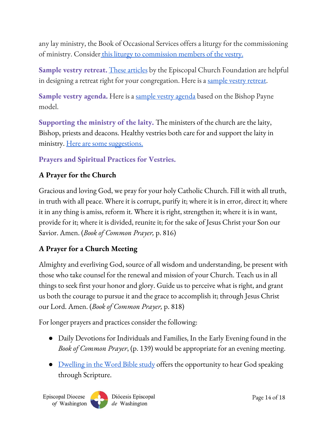any lay ministry, the Book of Occasional Services offers a liturgy for the commissioning of ministry. Consider this liturgy to [commission](https://www.edow.org/index.php/download_file/view/1669) members of the vestry.

**Sample vestry retreat.** These [articles](https://www.ecfvp.org/vestry-papers/42/vestry-retreats) by the Episcopal Church Foundation are helpful in designing a retreat right for your congregation. Here is a [sample](https://www.edow.org/index.php/download_file/view/1675) vestry retreat.

**Sample vestry agenda.** Here is a sample vestry [agenda](https://www.edow.org/index.php/download_file/view/1671) based on the Bishop Payne model.

**Supporting the ministry of the laity.** The ministers of the church are the laity, Bishop, priests and deacons. Healthy vestries both care for and support the laity in ministry. Here are some [suggestions.](https://www.edow.org/index.php/download_file/view/1672)

**Prayers and Spiritual Practices for Vestries.**

#### **A Prayer for the Church**

Gracious and loving God, we pray for your holy Catholic Church. Fill it with all truth, in truth with all peace. Where it is corrupt, purify it; where it is in error, direct it; where it in any thing is amiss, reform it. Where it is right, strengthen it; where it is in want, provide for it; where it is divided, reunite it; for the sake of Jesus Christ your Son our Savior. Amen. (*Book of Common Prayer,* p. 816)

# **A Prayer for a Church Meeting**

Almighty and everliving God, source of all wisdom and understanding, be present with those who take counsel for the renewal and mission of your Church. Teach us in all things to seek first your honor and glory. Guide us to perceive what is right, and grant us both the courage to pursue it and the grace to accomplish it; through Jesus Christ our Lord. Amen. (*Book of Common Prayer,* p. 818)

For longer prayers and practices consider the following:

- Daily Devotions for Individuals and Families, In the Early Evening found in the *Book of Common Prayer*, (p. 139) would be appropriate for an evening meeting.
- [Dwelling](https://www.edow.org/index.php/download_file/view/1673) in the Word Bible study offers the opportunity to hear God speaking through Scripture.

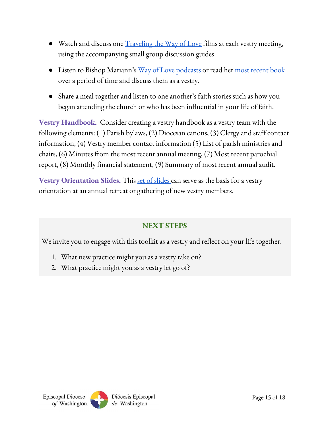- Watch and discuss one [Traveling](https://episcopalchurch.org/traveling-the-way-love) the Way of Love films at each vestry meeting, using the accompanying small group discussion guides.
- Listen to Bishop Mariann's <u>Way of Love [podcasts](https://podcasts.apple.com/us/podcast/experiencing-jesus-with-bishop-mariann/id1436075439)</u> or read her <u>most [recent](https://www.churchpublishing.org/receivingjesus) book</u> over a period of time and discuss them as a vestry.
- Share a meal together and listen to one another's faith stories such as how you began attending the church or who has been influential in your life of faith.

**Vestry Handbook.** Consider creating a vestry handbook as a vestry team with the following elements: (1) Parish bylaws, (2) Diocesan canons, (3) Clergy and staff contact information, (4) Vestry member contact information (5) List of parish ministries and chairs, (6) Minutes from the most recent annual meeting, (7) Most recent parochial report, (8) Monthly financial statement, (9) Summary of most recent annual audit.

**Vestry Orientation Slides.** This set of [slides](https://www.edow.org/index.php/download_file/view/1674) can serve as the basis for a vestry orientation at an annual retreat or gathering of new vestry members.

## **NEXT STEPS**

We invite you to engage with this toolkit as a vestry and reflect on your life together.

- 1. What new practice might you as a vestry take on?
- 2. What practice might you as a vestry let go of?

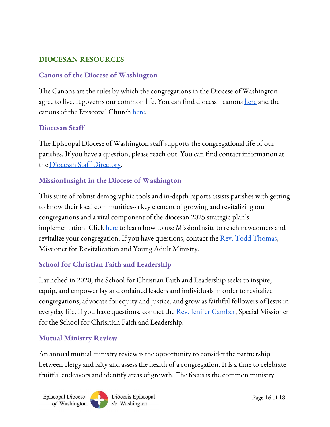#### <span id="page-15-0"></span>**DIOCESAN RESOURCES**

#### **Canons of the Diocese of Washington**

The Canons are the rules by which the congregations in the Diocese of Washington agree to live. It governs our common life. You can find diocesan canons <u>[here](https://www.edow.org/about/diocesan-governance/constitution-and-canons)</u> and the canons of the Episcopal Church [here](https://www.generalconvention.org/publications#CandC).

#### **Diocesan Staff**

The Episcopal Diocese of Washington staff supports the congregational life of our parishes. If you have a question, please reach out. You can find contact information at the <u>Diocesan Staff [Directory](https://www.edow.org/about/staff)</u>.

#### **MissionInsight in the Diocese of Washington**

This suite of robust demographic tools and in-depth reports assists parishes with getting to know their local communities--a key element of growing and revitalizing our congregations and a vital component of the diocesan 2025 strategic plan's implementation. Click [here](https://www.edow.org/congregational-vitality/missioninsite) to learn how to use MissionInsite to reach newcomers and revitalize your congregation. If you have questions, contact the <u>Rev. Todd Thomas</u>, Missioner for Revitalization and Young Adult Ministry.

## **School for Christian Faith and Leadership**

Launched in 2020, the School for Christian Faith and Leadership seeks to inspire, equip, and empower lay and ordained leaders and individuals in order to revitalize congregations, advocate for equity and justice, and grow as faithful followers of Jesus in everyday life. If you have questions, contact the <u>Rev. Jenifer [Gamber](mailto:jgamber@edow.org)</u>, Special Missioner for the School for Chrisitian Faith and Leadership.

#### <span id="page-15-1"></span>**Mutual Ministry Review**

An annual mutual ministry review is the opportunity to consider the partnership between clergy and laity and assess the health of a congregation. It is a time to celebrate fruitful endeavors and identify areas of growth. The focus is the common ministry

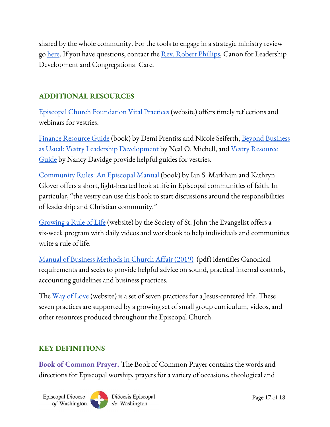shared by the whole community. For the tools to engage in a strategic ministry review go <u>[here](https://www.edow.org/congregational-vitality/strategic-ministry-review)</u>. If you have questions, contact the <u>Rev. Robert [Phillips](mailto:rphillips@edow.org)</u>, Canon for Leadership Development and Congregational Care.

## <span id="page-16-1"></span>**ADDITIONAL RESOURCES**

Episcopal Church [Foundation](https://www.ecfvp.org/) Vital Practices (website) offers timely reflections and webinars for vestries.

Finance [Resource](https://www.amazon.com/Finance-Resource-Guide-Demi-Prentiss-ebook/dp/B07YN8TRGX/ref=sr_1_2?dchild=1&keywords=finance+resource+guide&qid=1596133229&sr=8-2) Guide (book) by Demi Prentiss and Nicole Seiferth, Beyond [Business](https://www.amazon.com/Beyond-Business-Usual-Revised-Development/dp/0898699606) <u>as Usual: Vestry Leadership [Development](https://www.amazon.com/Beyond-Business-Usual-Revised-Development/dp/0898699606)</u> by Neal O. Michell, and <u>Vestry [Resource](https://www.amazon.com/Vestry-Resource-Guide-Nancy-Davidge/dp/0880284242/ref=sxts_sxwds-bia-wc-p13n1_0?cv_ct_cx=vestry+Resource+Guide&dchild=1&keywords=vestry+Resource+Guide&pd_rd_i=0880284242&pd_rd_r=a1eab402-2b2f-4245-8157-51c7e81222cb&pd_rd_w=6O58A&pd_rd_wg=ApGXp&pf_rd_p=13bf9bc7-d68d-44c3-9d2e-647020f56802&pf_rd_r=J4PX88F2ZXNF7B37HESX&psc=1&qid=1596378979&sr=1-1-791c2399-d602-4248-afbb-8a79de2d236f)</u> [Guide](https://www.amazon.com/Vestry-Resource-Guide-Nancy-Davidge/dp/0880284242/ref=sxts_sxwds-bia-wc-p13n1_0?cv_ct_cx=vestry+Resource+Guide&dchild=1&keywords=vestry+Resource+Guide&pd_rd_i=0880284242&pd_rd_r=a1eab402-2b2f-4245-8157-51c7e81222cb&pd_rd_w=6O58A&pd_rd_wg=ApGXp&pf_rd_p=13bf9bc7-d68d-44c3-9d2e-647020f56802&pf_rd_r=J4PX88F2ZXNF7B37HESX&psc=1&qid=1596378979&sr=1-1-791c2399-d602-4248-afbb-8a79de2d236f) by Nancy Davidge provide helpful guides for vestries.

[Community](https://www.amazon.com/Community-Rules-Episcopal-Ian-Markham/dp/1640651071/ref=sr_1_1?crid=30TYMWMLCMHKQ&dchild=1&keywords=community+rules+an+episcopal+manual&qid=1597095856&s=books&sprefix=community+rules+%2Cstripbooks%2C146&sr=1-1) Rules: An Episcopal Manual (book) by Ian S. Markham and Kathryn Glover offers a short, light-hearted look at life in Episcopal communities of faith. In particular, "the vestry can use this book to start discussions around the responsibilities of leadership and Christian community."

[Growing](https://www.ssje.org/growrule/) a Rule of Life (website) by the Society of St. John the Evangelist offers a six-week program with daily videos and workbook to help individuals and communities write a rule of life.

Manual of Business [Methods](https://episcopalchurch.org/files/mbm_dec2019_r.pdf) in Church Affair (2019) (pdf) identifies Canonical requirements and seeks to provide helpful advice on sound, practical internal controls, accounting guidelines and business practices.

The <u>Way of [Love](https://episcopalchurch.org/way-of-lovehttps://episcopalchurch.org/way-of-love)</u> (website) is a set of seven practices for a Jesus-centered life. These seven practices are supported by a growing set of small group curriculum, videos, and other resources produced throughout the Episcopal Church.

## **KEY DEFINITIONS**

<span id="page-16-0"></span>**Book of Common Prayer.** The Book of Common Prayer contains the words and directions for Episcopal worship, prayers for a variety of occasions, theological and